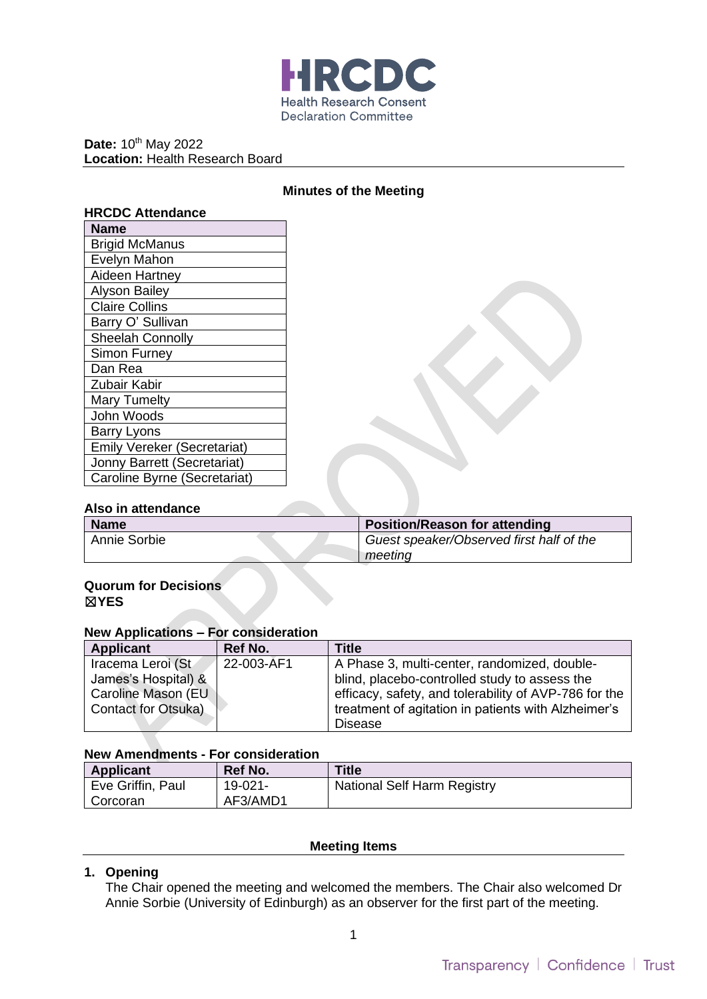

Date: 10<sup>th</sup> May 2022 **Location:** Health Research Board

### **Minutes of the Meeting**

| Name                               |
|------------------------------------|
| <b>Brigid McManus</b>              |
| Evelyn Mahon                       |
| Aideen Hartney                     |
| <b>Alyson Bailey</b>               |
| <b>Claire Collins</b>              |
| Barry O' Sullivan                  |
| Sheelah Connolly                   |
| <b>Simon Furney</b>                |
| Dan Rea                            |
| Zubair Kabir                       |
| <b>Mary Tumelty</b>                |
| John Woods                         |
| <b>Barry Lyons</b>                 |
| <b>Emily Vereker (Secretariat)</b> |
| Jonny Barrett (Secretariat)        |
| Caroline Byrne (Secretariat)       |

#### **Also in attendance**

| <b>Name</b>  | <b>Position/Reason for attending</b>     |
|--------------|------------------------------------------|
| Annie Sorbie | Guest speaker/Observed first half of the |
|              | meetina                                  |

### **Quorum for Decisions**  ☒**YES**

### **New Applications – For consideration**

| Applicant                  | Ref No.    | Title                                                 |
|----------------------------|------------|-------------------------------------------------------|
| Iracema Leroi (St          | 22-003-AF1 | A Phase 3, multi-center, randomized, double-          |
| James's Hospital) &        |            | blind, placebo-controlled study to assess the         |
| Caroline Mason (EU         |            | efficacy, safety, and tolerability of AVP-786 for the |
| <b>Contact for Otsuka)</b> |            | treatment of agitation in patients with Alzheimer's   |
|                            |            | Disease                                               |

# **New Amendments - For consideration**

| <b>Applicant</b>  | <b>Ref No.</b> | <b>Title</b>                |
|-------------------|----------------|-----------------------------|
| Eve Griffin, Paul | 19-021-        | National Self Harm Registry |
| Corcoran          | AF3/AMD1       |                             |

### **Meeting Items**

### **1. Opening**

The Chair opened the meeting and welcomed the members. The Chair also welcomed Dr Annie Sorbie (University of Edinburgh) as an observer for the first part of the meeting.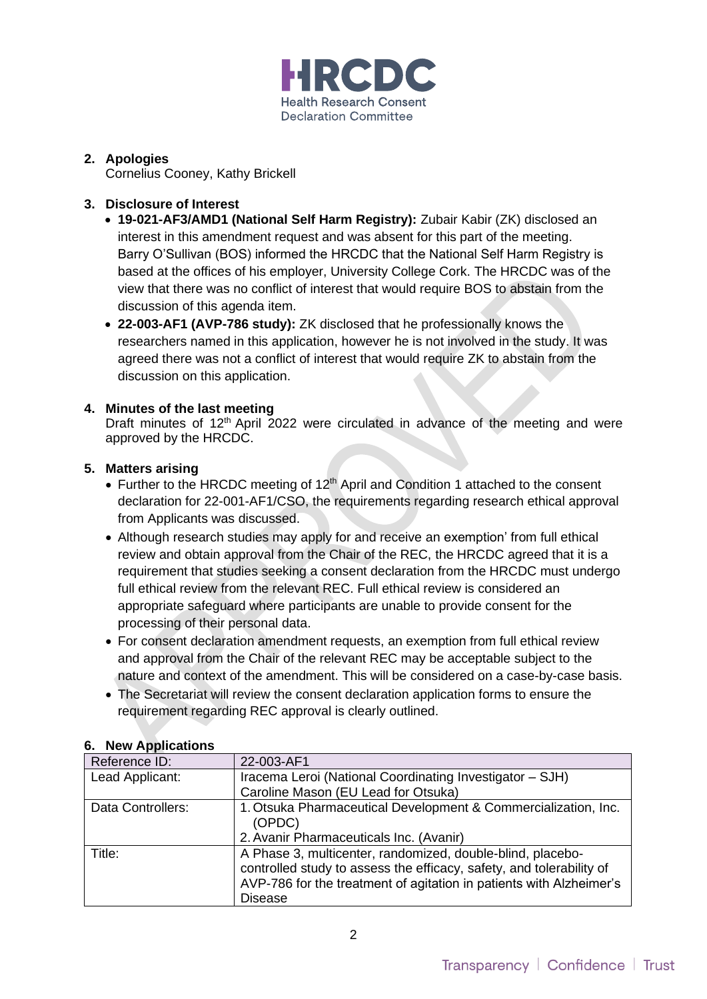

# **2. Apologies**

Cornelius Cooney, Kathy Brickell

## **3. Disclosure of Interest**

- **19-021-AF3/AMD1 (National Self Harm Registry):** Zubair Kabir (ZK) disclosed an interest in this amendment request and was absent for this part of the meeting. Barry O'Sullivan (BOS) informed the HRCDC that the National Self Harm Registry is based at the offices of his employer, University College Cork. The HRCDC was of the view that there was no conflict of interest that would require BOS to abstain from the discussion of this agenda item.
- **22-003-AF1 (AVP-786 study):** ZK disclosed that he professionally knows the researchers named in this application, however he is not involved in the study. It was agreed there was not a conflict of interest that would require ZK to abstain from the discussion on this application.

## **4. Minutes of the last meeting**

Draft minutes of 12<sup>th</sup> April 2022 were circulated in advance of the meeting and were approved by the HRCDC.

## **5. Matters arising**

- Further to the HRCDC meeting of  $12<sup>th</sup>$  April and Condition 1 attached to the consent declaration for 22-001-AF1/CSO, the requirements regarding research ethical approval from Applicants was discussed.
- Although research studies may apply for and receive an exemption' from full ethical review and obtain approval from the Chair of the REC, the HRCDC agreed that it is a requirement that studies seeking a consent declaration from the HRCDC must undergo full ethical review from the relevant REC. Full ethical review is considered an appropriate safeguard where participants are unable to provide consent for the processing of their personal data.
- For consent declaration amendment requests, an exemption from full ethical review and approval from the Chair of the relevant REC may be acceptable subject to the nature and context of the amendment. This will be considered on a case-by-case basis.
- The Secretariat will review the consent declaration application forms to ensure the requirement regarding REC approval is clearly outlined.

| Reference ID:     | 22-003-AF1                                                           |
|-------------------|----------------------------------------------------------------------|
| Lead Applicant:   | Iracema Leroi (National Coordinating Investigator - SJH)             |
|                   | Caroline Mason (EU Lead for Otsuka)                                  |
| Data Controllers: | 1. Otsuka Pharmaceutical Development & Commercialization, Inc.       |
|                   | (OPDC)                                                               |
|                   | 2. Avanir Pharmaceuticals Inc. (Avanir)                              |
| Title:            | A Phase 3, multicenter, randomized, double-blind, placebo-           |
|                   | controlled study to assess the efficacy, safety, and tolerability of |
|                   | AVP-786 for the treatment of agitation in patients with Alzheimer's  |
|                   | <b>Disease</b>                                                       |

## **6. New Applications**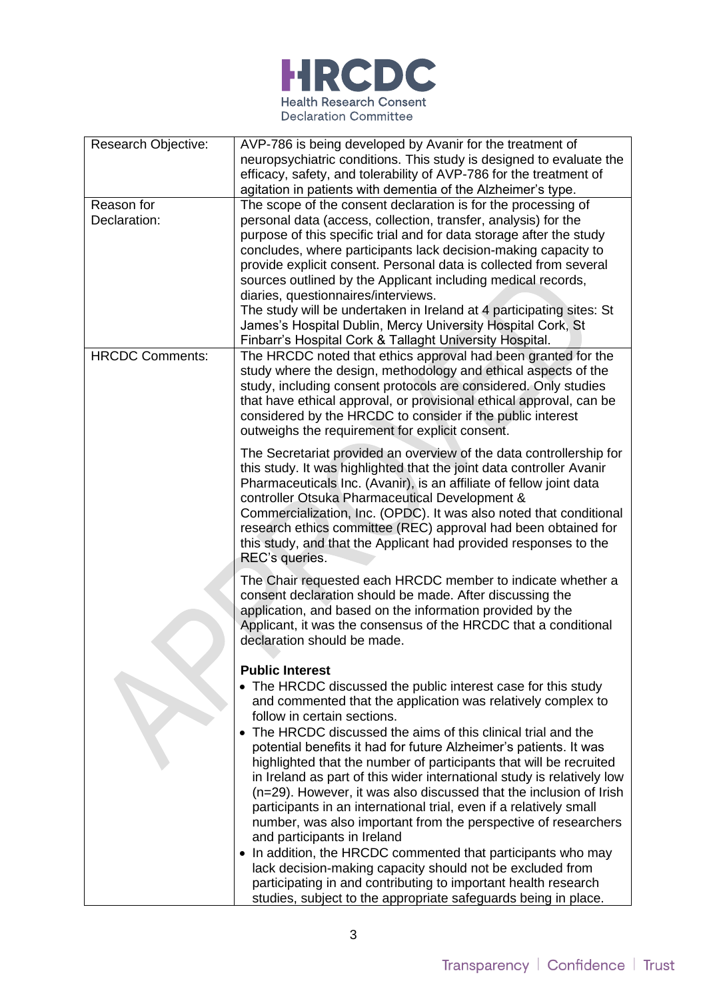

| <b>Research Objective:</b> | AVP-786 is being developed by Avanir for the treatment of                                                                                                                                                                                                                                                                                                                                                                                                                                                                                                                                                                                                                                                                                                                                                                   |
|----------------------------|-----------------------------------------------------------------------------------------------------------------------------------------------------------------------------------------------------------------------------------------------------------------------------------------------------------------------------------------------------------------------------------------------------------------------------------------------------------------------------------------------------------------------------------------------------------------------------------------------------------------------------------------------------------------------------------------------------------------------------------------------------------------------------------------------------------------------------|
|                            | neuropsychiatric conditions. This study is designed to evaluate the                                                                                                                                                                                                                                                                                                                                                                                                                                                                                                                                                                                                                                                                                                                                                         |
|                            | efficacy, safety, and tolerability of AVP-786 for the treatment of                                                                                                                                                                                                                                                                                                                                                                                                                                                                                                                                                                                                                                                                                                                                                          |
|                            | agitation in patients with dementia of the Alzheimer's type.                                                                                                                                                                                                                                                                                                                                                                                                                                                                                                                                                                                                                                                                                                                                                                |
| Reason for                 | The scope of the consent declaration is for the processing of                                                                                                                                                                                                                                                                                                                                                                                                                                                                                                                                                                                                                                                                                                                                                               |
| Declaration:               | personal data (access, collection, transfer, analysis) for the                                                                                                                                                                                                                                                                                                                                                                                                                                                                                                                                                                                                                                                                                                                                                              |
|                            | purpose of this specific trial and for data storage after the study                                                                                                                                                                                                                                                                                                                                                                                                                                                                                                                                                                                                                                                                                                                                                         |
|                            | concludes, where participants lack decision-making capacity to                                                                                                                                                                                                                                                                                                                                                                                                                                                                                                                                                                                                                                                                                                                                                              |
|                            | provide explicit consent. Personal data is collected from several                                                                                                                                                                                                                                                                                                                                                                                                                                                                                                                                                                                                                                                                                                                                                           |
|                            | sources outlined by the Applicant including medical records,                                                                                                                                                                                                                                                                                                                                                                                                                                                                                                                                                                                                                                                                                                                                                                |
|                            | diaries, questionnaires/interviews.                                                                                                                                                                                                                                                                                                                                                                                                                                                                                                                                                                                                                                                                                                                                                                                         |
|                            | The study will be undertaken in Ireland at 4 participating sites: St                                                                                                                                                                                                                                                                                                                                                                                                                                                                                                                                                                                                                                                                                                                                                        |
|                            | James's Hospital Dublin, Mercy University Hospital Cork, St                                                                                                                                                                                                                                                                                                                                                                                                                                                                                                                                                                                                                                                                                                                                                                 |
|                            | Finbarr's Hospital Cork & Tallaght University Hospital.                                                                                                                                                                                                                                                                                                                                                                                                                                                                                                                                                                                                                                                                                                                                                                     |
| <b>HRCDC Comments:</b>     | The HRCDC noted that ethics approval had been granted for the                                                                                                                                                                                                                                                                                                                                                                                                                                                                                                                                                                                                                                                                                                                                                               |
|                            | study where the design, methodology and ethical aspects of the                                                                                                                                                                                                                                                                                                                                                                                                                                                                                                                                                                                                                                                                                                                                                              |
|                            | study, including consent protocols are considered. Only studies                                                                                                                                                                                                                                                                                                                                                                                                                                                                                                                                                                                                                                                                                                                                                             |
|                            | that have ethical approval, or provisional ethical approval, can be                                                                                                                                                                                                                                                                                                                                                                                                                                                                                                                                                                                                                                                                                                                                                         |
|                            | considered by the HRCDC to consider if the public interest                                                                                                                                                                                                                                                                                                                                                                                                                                                                                                                                                                                                                                                                                                                                                                  |
|                            | outweighs the requirement for explicit consent.                                                                                                                                                                                                                                                                                                                                                                                                                                                                                                                                                                                                                                                                                                                                                                             |
|                            | The Secretariat provided an overview of the data controllership for                                                                                                                                                                                                                                                                                                                                                                                                                                                                                                                                                                                                                                                                                                                                                         |
|                            | this study. It was highlighted that the joint data controller Avanir                                                                                                                                                                                                                                                                                                                                                                                                                                                                                                                                                                                                                                                                                                                                                        |
|                            | Pharmaceuticals Inc. (Avanir), is an affiliate of fellow joint data                                                                                                                                                                                                                                                                                                                                                                                                                                                                                                                                                                                                                                                                                                                                                         |
|                            | controller Otsuka Pharmaceutical Development &                                                                                                                                                                                                                                                                                                                                                                                                                                                                                                                                                                                                                                                                                                                                                                              |
|                            | Commercialization, Inc. (OPDC). It was also noted that conditional                                                                                                                                                                                                                                                                                                                                                                                                                                                                                                                                                                                                                                                                                                                                                          |
|                            | research ethics committee (REC) approval had been obtained for                                                                                                                                                                                                                                                                                                                                                                                                                                                                                                                                                                                                                                                                                                                                                              |
|                            | this study, and that the Applicant had provided responses to the                                                                                                                                                                                                                                                                                                                                                                                                                                                                                                                                                                                                                                                                                                                                                            |
|                            | REC's queries.                                                                                                                                                                                                                                                                                                                                                                                                                                                                                                                                                                                                                                                                                                                                                                                                              |
|                            | The Chair requested each HRCDC member to indicate whether a                                                                                                                                                                                                                                                                                                                                                                                                                                                                                                                                                                                                                                                                                                                                                                 |
|                            | consent declaration should be made. After discussing the                                                                                                                                                                                                                                                                                                                                                                                                                                                                                                                                                                                                                                                                                                                                                                    |
|                            | application, and based on the information provided by the                                                                                                                                                                                                                                                                                                                                                                                                                                                                                                                                                                                                                                                                                                                                                                   |
|                            | Applicant, it was the consensus of the HRCDC that a conditional                                                                                                                                                                                                                                                                                                                                                                                                                                                                                                                                                                                                                                                                                                                                                             |
|                            | declaration should be made.                                                                                                                                                                                                                                                                                                                                                                                                                                                                                                                                                                                                                                                                                                                                                                                                 |
|                            |                                                                                                                                                                                                                                                                                                                                                                                                                                                                                                                                                                                                                                                                                                                                                                                                                             |
|                            | <b>Public Interest</b>                                                                                                                                                                                                                                                                                                                                                                                                                                                                                                                                                                                                                                                                                                                                                                                                      |
|                            | The HRCDC discussed the public interest case for this study                                                                                                                                                                                                                                                                                                                                                                                                                                                                                                                                                                                                                                                                                                                                                                 |
|                            | and commented that the application was relatively complex to                                                                                                                                                                                                                                                                                                                                                                                                                                                                                                                                                                                                                                                                                                                                                                |
|                            |                                                                                                                                                                                                                                                                                                                                                                                                                                                                                                                                                                                                                                                                                                                                                                                                                             |
|                            |                                                                                                                                                                                                                                                                                                                                                                                                                                                                                                                                                                                                                                                                                                                                                                                                                             |
|                            |                                                                                                                                                                                                                                                                                                                                                                                                                                                                                                                                                                                                                                                                                                                                                                                                                             |
|                            |                                                                                                                                                                                                                                                                                                                                                                                                                                                                                                                                                                                                                                                                                                                                                                                                                             |
|                            |                                                                                                                                                                                                                                                                                                                                                                                                                                                                                                                                                                                                                                                                                                                                                                                                                             |
|                            |                                                                                                                                                                                                                                                                                                                                                                                                                                                                                                                                                                                                                                                                                                                                                                                                                             |
|                            |                                                                                                                                                                                                                                                                                                                                                                                                                                                                                                                                                                                                                                                                                                                                                                                                                             |
|                            |                                                                                                                                                                                                                                                                                                                                                                                                                                                                                                                                                                                                                                                                                                                                                                                                                             |
|                            |                                                                                                                                                                                                                                                                                                                                                                                                                                                                                                                                                                                                                                                                                                                                                                                                                             |
|                            |                                                                                                                                                                                                                                                                                                                                                                                                                                                                                                                                                                                                                                                                                                                                                                                                                             |
|                            |                                                                                                                                                                                                                                                                                                                                                                                                                                                                                                                                                                                                                                                                                                                                                                                                                             |
|                            |                                                                                                                                                                                                                                                                                                                                                                                                                                                                                                                                                                                                                                                                                                                                                                                                                             |
|                            | follow in certain sections.<br>The HRCDC discussed the aims of this clinical trial and the<br>potential benefits it had for future Alzheimer's patients. It was<br>highlighted that the number of participants that will be recruited<br>in Ireland as part of this wider international study is relatively low<br>(n=29). However, it was also discussed that the inclusion of Irish<br>participants in an international trial, even if a relatively small<br>number, was also important from the perspective of researchers<br>and participants in Ireland<br>In addition, the HRCDC commented that participants who may<br>lack decision-making capacity should not be excluded from<br>participating in and contributing to important health research<br>studies, subject to the appropriate safeguards being in place. |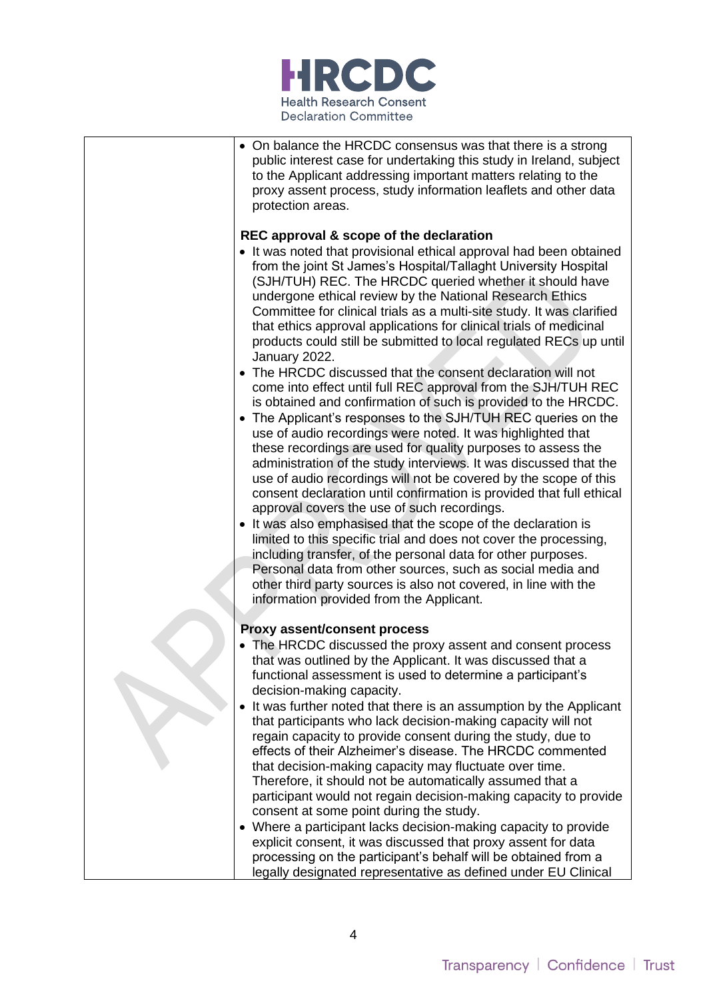

| • On balance the HRCDC consensus was that there is a strong<br>public interest case for undertaking this study in Ireland, subject<br>to the Applicant addressing important matters relating to the<br>proxy assent process, study information leaflets and other data<br>protection areas.                                                                                                                                                                                                                                                                                                                                                                                                                                                                                                                                                     |
|-------------------------------------------------------------------------------------------------------------------------------------------------------------------------------------------------------------------------------------------------------------------------------------------------------------------------------------------------------------------------------------------------------------------------------------------------------------------------------------------------------------------------------------------------------------------------------------------------------------------------------------------------------------------------------------------------------------------------------------------------------------------------------------------------------------------------------------------------|
| REC approval & scope of the declaration<br>• It was noted that provisional ethical approval had been obtained<br>from the joint St James's Hospital/Tallaght University Hospital<br>(SJH/TUH) REC. The HRCDC queried whether it should have<br>undergone ethical review by the National Research Ethics<br>Committee for clinical trials as a multi-site study. It was clarified<br>that ethics approval applications for clinical trials of medicinal<br>products could still be submitted to local regulated RECs up until<br>January 2022.<br>• The HRCDC discussed that the consent declaration will not<br>come into effect until full REC approval from the SJH/TUH REC<br>is obtained and confirmation of such is provided to the HRCDC.                                                                                                 |
| • The Applicant's responses to the SJH/TUH REC queries on the<br>use of audio recordings were noted. It was highlighted that<br>these recordings are used for quality purposes to assess the<br>administration of the study interviews. It was discussed that the<br>use of audio recordings will not be covered by the scope of this<br>consent declaration until confirmation is provided that full ethical<br>approval covers the use of such recordings.<br>• It was also emphasised that the scope of the declaration is<br>limited to this specific trial and does not cover the processing,<br>including transfer, of the personal data for other purposes.<br>Personal data from other sources, such as social media and<br>other third party sources is also not covered, in line with the<br>information provided from the Applicant. |
| <b>Proxy assent/consent process</b><br>• The HRCDC discussed the proxy assent and consent process<br>that was outlined by the Applicant. It was discussed that a<br>functional assessment is used to determine a participant's                                                                                                                                                                                                                                                                                                                                                                                                                                                                                                                                                                                                                  |
| decision-making capacity.<br>It was further noted that there is an assumption by the Applicant<br>that participants who lack decision-making capacity will not<br>regain capacity to provide consent during the study, due to<br>effects of their Alzheimer's disease. The HRCDC commented<br>that decision-making capacity may fluctuate over time.<br>Therefore, it should not be automatically assumed that a<br>participant would not regain decision-making capacity to provide<br>consent at some point during the study.                                                                                                                                                                                                                                                                                                                 |
| • Where a participant lacks decision-making capacity to provide<br>explicit consent, it was discussed that proxy assent for data<br>processing on the participant's behalf will be obtained from a<br>legally designated representative as defined under EU Clinical                                                                                                                                                                                                                                                                                                                                                                                                                                                                                                                                                                            |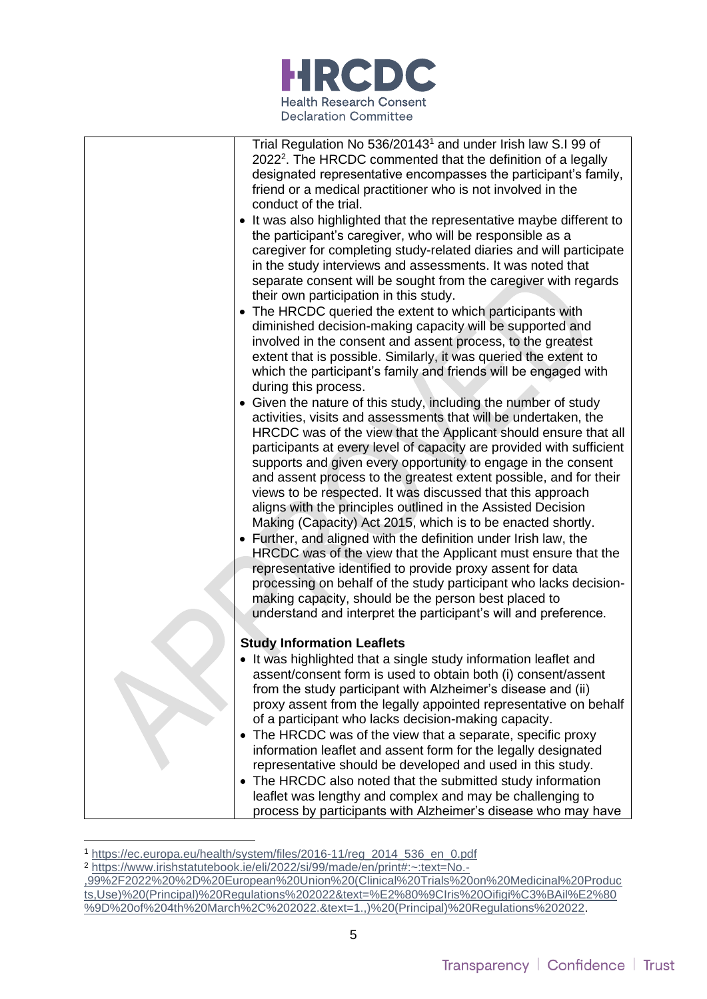

| Trial Regulation No 536/20143 <sup>1</sup> and under Irish law S.I 99 of<br>2022 <sup>2</sup> . The HRCDC commented that the definition of a legally<br>designated representative encompasses the participant's family,<br>friend or a medical practitioner who is not involved in the<br>conduct of the trial.                                                                                                                                                                                                                                                                                                                                                                                                                                                                                                                                                                                                                                                                                                  |
|------------------------------------------------------------------------------------------------------------------------------------------------------------------------------------------------------------------------------------------------------------------------------------------------------------------------------------------------------------------------------------------------------------------------------------------------------------------------------------------------------------------------------------------------------------------------------------------------------------------------------------------------------------------------------------------------------------------------------------------------------------------------------------------------------------------------------------------------------------------------------------------------------------------------------------------------------------------------------------------------------------------|
| It was also highlighted that the representative maybe different to<br>the participant's caregiver, who will be responsible as a<br>caregiver for completing study-related diaries and will participate<br>in the study interviews and assessments. It was noted that<br>separate consent will be sought from the caregiver with regards<br>their own participation in this study.                                                                                                                                                                                                                                                                                                                                                                                                                                                                                                                                                                                                                                |
| • The HRCDC queried the extent to which participants with<br>diminished decision-making capacity will be supported and<br>involved in the consent and assent process, to the greatest<br>extent that is possible. Similarly, it was queried the extent to<br>which the participant's family and friends will be engaged with<br>during this process.                                                                                                                                                                                                                                                                                                                                                                                                                                                                                                                                                                                                                                                             |
| Given the nature of this study, including the number of study<br>activities, visits and assessments that will be undertaken, the<br>HRCDC was of the view that the Applicant should ensure that all<br>participants at every level of capacity are provided with sufficient<br>supports and given every opportunity to engage in the consent<br>and assent process to the greatest extent possible, and for their<br>views to be respected. It was discussed that this approach<br>aligns with the principles outlined in the Assisted Decision<br>Making (Capacity) Act 2015, which is to be enacted shortly.<br>• Further, and aligned with the definition under Irish law, the<br>HRCDC was of the view that the Applicant must ensure that the<br>representative identified to provide proxy assent for data<br>processing on behalf of the study participant who lacks decision-<br>making capacity, should be the person best placed to<br>understand and interpret the participant's will and preference. |
| <b>Study Information Leaflets</b>                                                                                                                                                                                                                                                                                                                                                                                                                                                                                                                                                                                                                                                                                                                                                                                                                                                                                                                                                                                |
| • It was highlighted that a single study information leaflet and<br>assent/consent form is used to obtain both (i) consent/assent<br>from the study participant with Alzheimer's disease and (ii)                                                                                                                                                                                                                                                                                                                                                                                                                                                                                                                                                                                                                                                                                                                                                                                                                |
| proxy assent from the legally appointed representative on behalf                                                                                                                                                                                                                                                                                                                                                                                                                                                                                                                                                                                                                                                                                                                                                                                                                                                                                                                                                 |
| of a participant who lacks decision-making capacity.<br>The HRCDC was of the view that a separate, specific proxy                                                                                                                                                                                                                                                                                                                                                                                                                                                                                                                                                                                                                                                                                                                                                                                                                                                                                                |
| information leaflet and assent form for the legally designated                                                                                                                                                                                                                                                                                                                                                                                                                                                                                                                                                                                                                                                                                                                                                                                                                                                                                                                                                   |
| representative should be developed and used in this study.<br>The HRCDC also noted that the submitted study information<br>$\bullet$                                                                                                                                                                                                                                                                                                                                                                                                                                                                                                                                                                                                                                                                                                                                                                                                                                                                             |
| leaflet was lengthy and complex and may be challenging to                                                                                                                                                                                                                                                                                                                                                                                                                                                                                                                                                                                                                                                                                                                                                                                                                                                                                                                                                        |
| process by participants with Alzheimer's disease who may have                                                                                                                                                                                                                                                                                                                                                                                                                                                                                                                                                                                                                                                                                                                                                                                                                                                                                                                                                    |

<sup>1</sup> [https://ec.europa.eu/health/system/files/2016-11/reg\\_2014\\_536\\_en\\_0.pdf](https://ec.europa.eu/health/system/files/2016-11/reg_2014_536_en_0.pdf)

<sup>2</sup> [https://www.irishstatutebook.ie/eli/2022/si/99/made/en/print#:~:text=No.-](https://www.irishstatutebook.ie/eli/2022/si/99/made/en/print#:~:text=No.-,99%2F2022%20%2D%20European%20Union%20(Clinical%20Trials%20on%20Medicinal%20Products,Use)%20(Principal)%20Regulations%202022&text=%E2%80%9CIris%20Oifigi%C3%BAil%E2%80%9D%20of%204th%20March%2C%202022.&text=1.,)%20(Principal)%20Regulations%202022)

[<sup>,99%2</sup>F2022%20%2D%20European%20Union%20\(Clinical%20Trials%20on%20Medicinal%20Produc](https://www.irishstatutebook.ie/eli/2022/si/99/made/en/print#:~:text=No.-,99%2F2022%20%2D%20European%20Union%20(Clinical%20Trials%20on%20Medicinal%20Products,Use)%20(Principal)%20Regulations%202022&text=%E2%80%9CIris%20Oifigi%C3%BAil%E2%80%9D%20of%204th%20March%2C%202022.&text=1.,)%20(Principal)%20Regulations%202022) [ts,Use\)%20\(Principal\)%20Regulations%202022&text=%E2%80%9CIris%20Oifigi%C3%BAil%E2%80](https://www.irishstatutebook.ie/eli/2022/si/99/made/en/print#:~:text=No.-,99%2F2022%20%2D%20European%20Union%20(Clinical%20Trials%20on%20Medicinal%20Products,Use)%20(Principal)%20Regulations%202022&text=%E2%80%9CIris%20Oifigi%C3%BAil%E2%80%9D%20of%204th%20March%2C%202022.&text=1.,)%20(Principal)%20Regulations%202022) [%9D%20of%204th%20March%2C%202022.&text=1.,\)%20\(Principal\)%20Regulations%202022.](https://www.irishstatutebook.ie/eli/2022/si/99/made/en/print#:~:text=No.-,99%2F2022%20%2D%20European%20Union%20(Clinical%20Trials%20on%20Medicinal%20Products,Use)%20(Principal)%20Regulations%202022&text=%E2%80%9CIris%20Oifigi%C3%BAil%E2%80%9D%20of%204th%20March%2C%202022.&text=1.,)%20(Principal)%20Regulations%202022)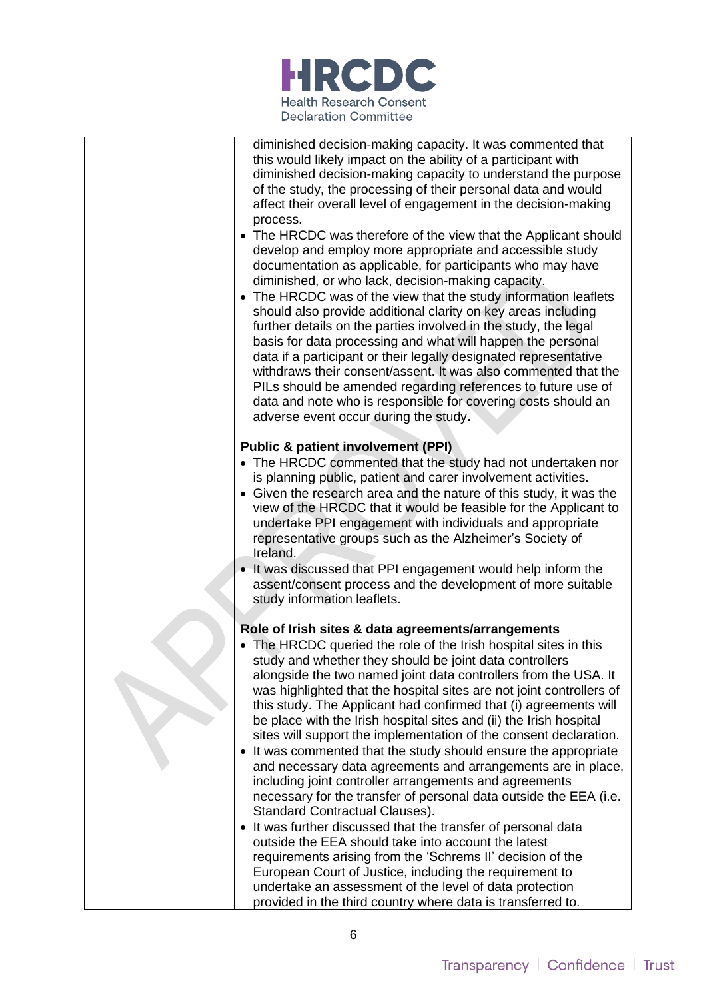

| diminished decision-making capacity. It was commented that<br>this would likely impact on the ability of a participant with<br>diminished decision-making capacity to understand the purpose<br>of the study, the processing of their personal data and would<br>affect their overall level of engagement in the decision-making<br>process.<br>• The HRCDC was therefore of the view that the Applicant should<br>develop and employ more appropriate and accessible study<br>documentation as applicable, for participants who may have<br>diminished, or who lack, decision-making capacity.<br>• The HRCDC was of the view that the study information leaflets<br>should also provide additional clarity on key areas including<br>further details on the parties involved in the study, the legal<br>basis for data processing and what will happen the personal<br>data if a participant or their legally designated representative<br>withdraws their consent/assent. It was also commented that the<br>PILs should be amended regarding references to future use of<br>data and note who is responsible for covering costs should an<br>adverse event occur during the study.                                                                     |
|-----------------------------------------------------------------------------------------------------------------------------------------------------------------------------------------------------------------------------------------------------------------------------------------------------------------------------------------------------------------------------------------------------------------------------------------------------------------------------------------------------------------------------------------------------------------------------------------------------------------------------------------------------------------------------------------------------------------------------------------------------------------------------------------------------------------------------------------------------------------------------------------------------------------------------------------------------------------------------------------------------------------------------------------------------------------------------------------------------------------------------------------------------------------------------------------------------------------------------------------------------------|
| <b>Public &amp; patient involvement (PPI)</b><br>• The HRCDC commented that the study had not undertaken nor<br>is planning public, patient and carer involvement activities.<br>• Given the research area and the nature of this study, it was the<br>view of the HRCDC that it would be feasible for the Applicant to<br>undertake PPI engagement with individuals and appropriate<br>representative groups such as the Alzheimer's Society of<br>Ireland.<br>• It was discussed that PPI engagement would help inform the<br>assent/consent process and the development of more suitable                                                                                                                                                                                                                                                                                                                                                                                                                                                                                                                                                                                                                                                               |
| study information leaflets.<br>Role of Irish sites & data agreements/arrangements<br>• The HRCDC queried the role of the Irish hospital sites in this<br>study and whether they should be joint data controllers<br>alongside the two named joint data controllers from the USA. It<br>was highlighted that the hospital sites are not joint controllers of<br>this study. The Applicant had confirmed that (i) agreements will<br>be place with the Irish hospital sites and (ii) the Irish hospital<br>sites will support the implementation of the consent declaration.<br>• It was commented that the study should ensure the appropriate<br>and necessary data agreements and arrangements are in place,<br>including joint controller arrangements and agreements<br>necessary for the transfer of personal data outside the EEA (i.e.<br>Standard Contractual Clauses).<br>• It was further discussed that the transfer of personal data<br>outside the EEA should take into account the latest<br>requirements arising from the 'Schrems II' decision of the<br>European Court of Justice, including the requirement to<br>undertake an assessment of the level of data protection<br>provided in the third country where data is transferred to. |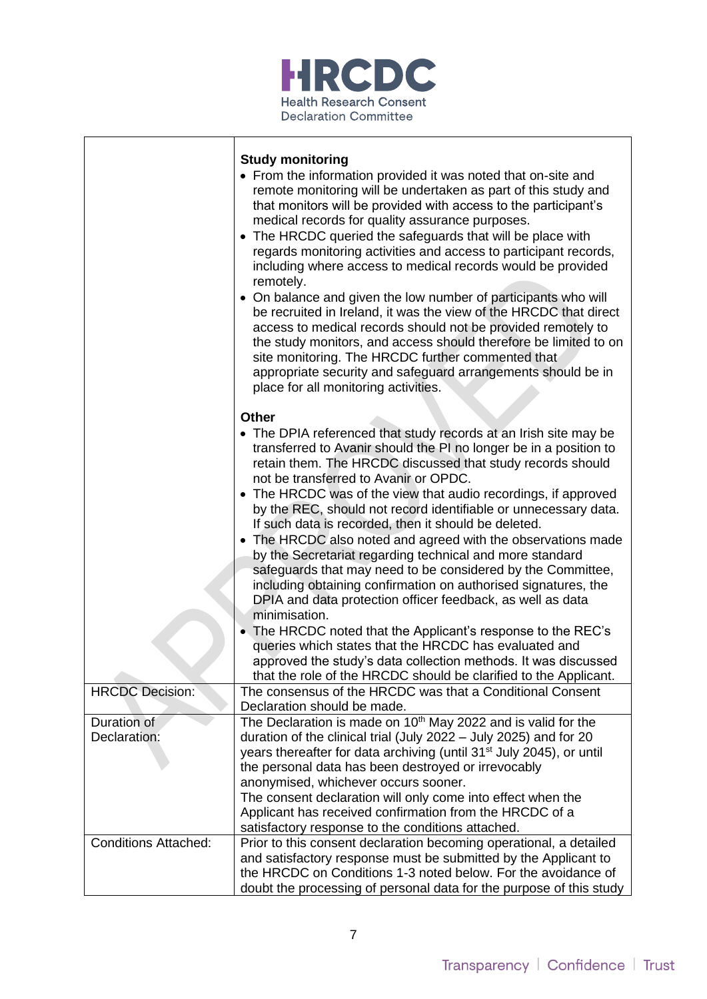

|                                                            | <b>Study monitoring</b><br>• From the information provided it was noted that on-site and<br>remote monitoring will be undertaken as part of this study and<br>that monitors will be provided with access to the participant's<br>medical records for quality assurance purposes.<br>The HRCDC queried the safeguards that will be place with<br>$\bullet$<br>regards monitoring activities and access to participant records,<br>including where access to medical records would be provided<br>remotely.<br>On balance and given the low number of participants who will<br>be recruited in Ireland, it was the view of the HRCDC that direct<br>access to medical records should not be provided remotely to<br>the study monitors, and access should therefore be limited to on<br>site monitoring. The HRCDC further commented that<br>appropriate security and safeguard arrangements should be in<br>place for all monitoring activities.                                                                                                                  |
|------------------------------------------------------------|------------------------------------------------------------------------------------------------------------------------------------------------------------------------------------------------------------------------------------------------------------------------------------------------------------------------------------------------------------------------------------------------------------------------------------------------------------------------------------------------------------------------------------------------------------------------------------------------------------------------------------------------------------------------------------------------------------------------------------------------------------------------------------------------------------------------------------------------------------------------------------------------------------------------------------------------------------------------------------------------------------------------------------------------------------------|
|                                                            | <b>Other</b><br>• The DPIA referenced that study records at an Irish site may be<br>transferred to Avanir should the PI no longer be in a position to<br>retain them. The HRCDC discussed that study records should<br>not be transferred to Avanir or OPDC.<br>• The HRCDC was of the view that audio recordings, if approved<br>by the REC, should not record identifiable or unnecessary data.<br>If such data is recorded, then it should be deleted.<br>The HRCDC also noted and agreed with the observations made<br>by the Secretariat regarding technical and more standard<br>safeguards that may need to be considered by the Committee,<br>including obtaining confirmation on authorised signatures, the<br>DPIA and data protection officer feedback, as well as data<br>minimisation.<br>The HRCDC noted that the Applicant's response to the REC's<br>queries which states that the HRCDC has evaluated and<br>approved the study's data collection methods. It was discussed<br>that the role of the HRCDC should be clarified to the Applicant. |
| <b>HRCDC Decision:</b>                                     | The consensus of the HRCDC was that a Conditional Consent<br>Declaration should be made.                                                                                                                                                                                                                                                                                                                                                                                                                                                                                                                                                                                                                                                                                                                                                                                                                                                                                                                                                                         |
| Duration of<br>Declaration:<br><b>Conditions Attached:</b> | The Declaration is made on 10 <sup>th</sup> May 2022 and is valid for the<br>duration of the clinical trial (July 2022 - July 2025) and for 20<br>years thereafter for data archiving (until 31 <sup>st</sup> July 2045), or until<br>the personal data has been destroyed or irrevocably<br>anonymised, whichever occurs sooner.<br>The consent declaration will only come into effect when the<br>Applicant has received confirmation from the HRCDC of a<br>satisfactory response to the conditions attached.<br>Prior to this consent declaration becoming operational, a detailed                                                                                                                                                                                                                                                                                                                                                                                                                                                                           |
|                                                            | and satisfactory response must be submitted by the Applicant to<br>the HRCDC on Conditions 1-3 noted below. For the avoidance of<br>doubt the processing of personal data for the purpose of this study                                                                                                                                                                                                                                                                                                                                                                                                                                                                                                                                                                                                                                                                                                                                                                                                                                                          |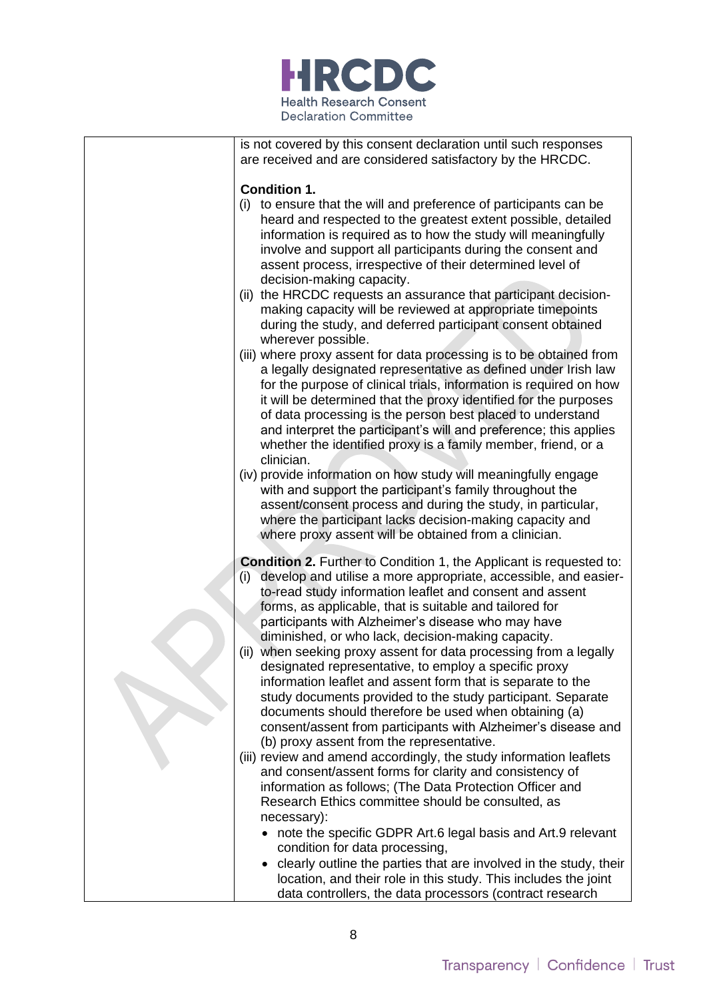

is not covered by this consent declaration until such responses are received and are considered satisfactory by the HRCDC. **Condition 1.** (i) to ensure that the will and preference of participants can be heard and respected to the greatest extent possible, detailed information is required as to how the study will meaningfully involve and support all participants during the consent and assent process, irrespective of their determined level of decision-making capacity. (ii) the HRCDC requests an assurance that participant decisionmaking capacity will be reviewed at appropriate timepoints during the study, and deferred participant consent obtained wherever possible. (iii) where proxy assent for data processing is to be obtained from a legally designated representative as defined under Irish law for the purpose of clinical trials, information is required on how it will be determined that the proxy identified for the purposes of data processing is the person best placed to understand and interpret the participant's will and preference; this applies whether the identified proxy is a family member, friend, or a clinician. (iv) provide information on how study will meaningfully engage with and support the participant's family throughout the assent/consent process and during the study, in particular, where the participant lacks decision-making capacity and where proxy assent will be obtained from a clinician. **Condition 2.** Further to Condition 1, the Applicant is requested to: (i) develop and utilise a more appropriate, accessible, and easierto-read study information leaflet and consent and assent forms, as applicable, that is suitable and tailored for participants with Alzheimer's disease who may have diminished, or who lack, decision-making capacity. (ii) when seeking proxy assent for data processing from a legally designated representative, to employ a specific proxy information leaflet and assent form that is separate to the study documents provided to the study participant. Separate documents should therefore be used when obtaining (a) consent/assent from participants with Alzheimer's disease and (b) proxy assent from the representative. (iii) review and amend accordingly, the study information leaflets and consent/assent forms for clarity and consistency of information as follows; (The Data Protection Officer and Research Ethics committee should be consulted, as necessary): • note the specific GDPR Art.6 legal basis and Art.9 relevant condition for data processing, • clearly outline the parties that are involved in the study, their location, and their role in this study. This includes the joint data controllers, the data processors (contract research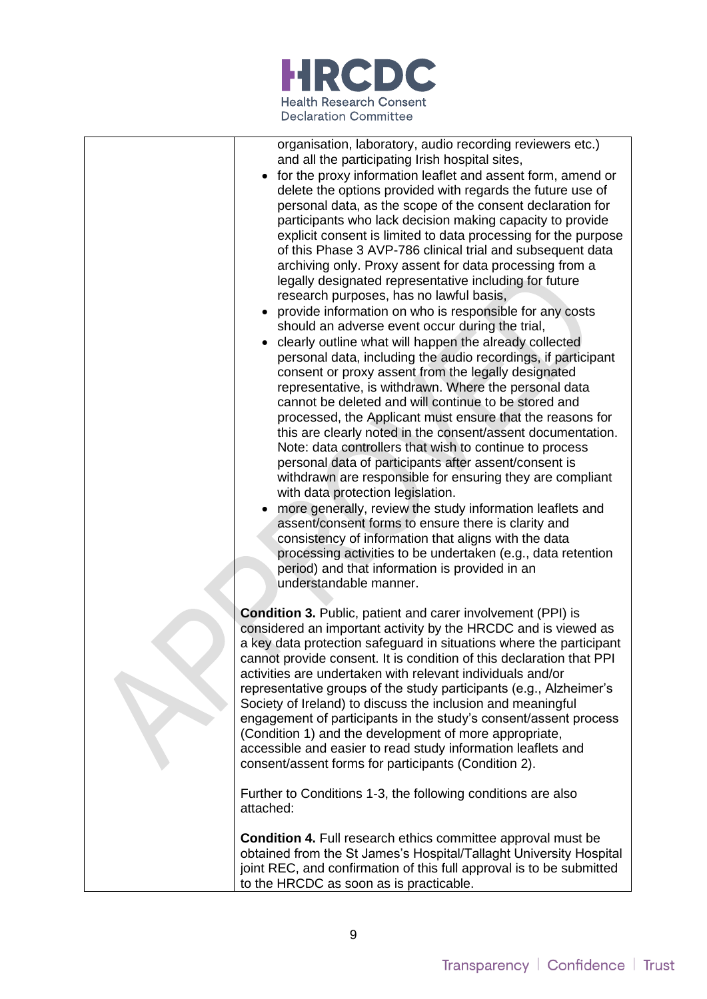

| organisation, laboratory, audio recording reviewers etc.)<br>and all the participating Irish hospital sites,<br>for the proxy information leaflet and assent form, amend or<br>delete the options provided with regards the future use of<br>personal data, as the scope of the consent declaration for<br>participants who lack decision making capacity to provide<br>explicit consent is limited to data processing for the purpose<br>of this Phase 3 AVP-786 clinical trial and subsequent data<br>archiving only. Proxy assent for data processing from a<br>legally designated representative including for future<br>research purposes, has no lawful basis,<br>provide information on who is responsible for any costs<br>should an adverse event occur during the trial,<br>clearly outline what will happen the already collected<br>personal data, including the audio recordings, if participant<br>consent or proxy assent from the legally designated<br>representative, is withdrawn. Where the personal data<br>cannot be deleted and will continue to be stored and<br>processed, the Applicant must ensure that the reasons for<br>this are clearly noted in the consent/assent documentation.<br>Note: data controllers that wish to continue to process<br>personal data of participants after assent/consent is<br>withdrawn are responsible for ensuring they are compliant<br>with data protection legislation.<br>more generally, review the study information leaflets and<br>assent/consent forms to ensure there is clarity and<br>consistency of information that aligns with the data<br>processing activities to be undertaken (e.g., data retention<br>period) and that information is provided in an<br>understandable manner. |
|-----------------------------------------------------------------------------------------------------------------------------------------------------------------------------------------------------------------------------------------------------------------------------------------------------------------------------------------------------------------------------------------------------------------------------------------------------------------------------------------------------------------------------------------------------------------------------------------------------------------------------------------------------------------------------------------------------------------------------------------------------------------------------------------------------------------------------------------------------------------------------------------------------------------------------------------------------------------------------------------------------------------------------------------------------------------------------------------------------------------------------------------------------------------------------------------------------------------------------------------------------------------------------------------------------------------------------------------------------------------------------------------------------------------------------------------------------------------------------------------------------------------------------------------------------------------------------------------------------------------------------------------------------------------------------------------------------------------------------------------------------------------|
| <b>Condition 3. Public, patient and carer involvement (PPI) is</b><br>considered an important activity by the HRCDC and is viewed as<br>a key data protection safeguard in situations where the participant<br>cannot provide consent. It is condition of this declaration that PPI<br>activities are undertaken with relevant individuals and/or<br>representative groups of the study participants (e.g., Alzheimer's<br>Society of Ireland) to discuss the inclusion and meaningful                                                                                                                                                                                                                                                                                                                                                                                                                                                                                                                                                                                                                                                                                                                                                                                                                                                                                                                                                                                                                                                                                                                                                                                                                                                                          |

engagement of participants in the study's consent/assent process (Condition 1) and the development of more appropriate, accessible and easier to read study information leaflets and consent/assent forms for participants (Condition 2).

Further to Conditions 1-3, the following conditions are also attached:

**Condition 4.** Full research ethics committee approval must be obtained from the St James's Hospital/Tallaght University Hospital joint REC, and confirmation of this full approval is to be submitted to the HRCDC as soon as is practicable.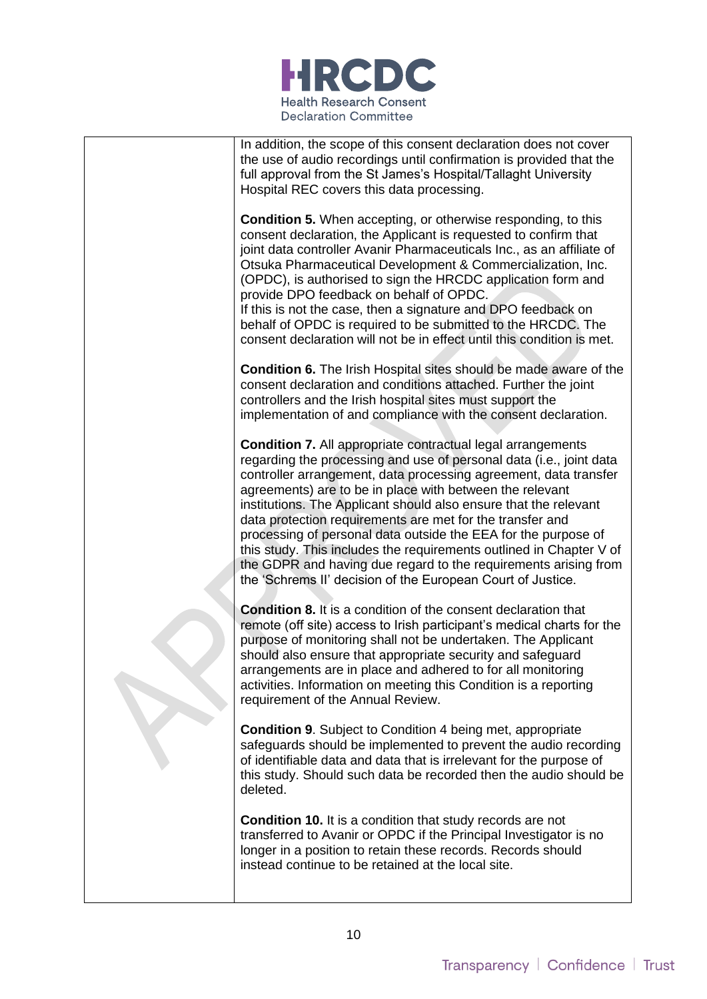

In addition, the scope of this consent declaration does not cover the use of audio recordings until confirmation is provided that the full approval from the St James's Hospital/Tallaght University Hospital REC covers this data processing.

**Condition 5.** When accepting, or otherwise responding, to this consent declaration, the Applicant is requested to confirm that joint data controller Avanir Pharmaceuticals Inc., as an affiliate of Otsuka Pharmaceutical Development & Commercialization, Inc. (OPDC), is authorised to sign the HRCDC application form and provide DPO feedback on behalf of OPDC.

If this is not the case, then a signature and DPO feedback on behalf of OPDC is required to be submitted to the HRCDC. The consent declaration will not be in effect until this condition is met.

**Condition 6.** The Irish Hospital sites should be made aware of the consent declaration and conditions attached. Further the joint controllers and the Irish hospital sites must support the implementation of and compliance with the consent declaration.

**Condition 7.** All appropriate contractual legal arrangements regarding the processing and use of personal data (i.e., joint data controller arrangement, data processing agreement, data transfer agreements) are to be in place with between the relevant institutions. The Applicant should also ensure that the relevant data protection requirements are met for the transfer and processing of personal data outside the EEA for the purpose of this study. This includes the requirements outlined in Chapter V of the GDPR and having due regard to the requirements arising from the 'Schrems II' decision of the European Court of Justice.

**Condition 8.** It is a condition of the consent declaration that remote (off site) access to Irish participant's medical charts for the purpose of monitoring shall not be undertaken. The Applicant should also ensure that appropriate security and safeguard arrangements are in place and adhered to for all monitoring activities. Information on meeting this Condition is a reporting requirement of the Annual Review.

**Condition 9**. Subject to Condition 4 being met, appropriate safeguards should be implemented to prevent the audio recording of identifiable data and data that is irrelevant for the purpose of this study. Should such data be recorded then the audio should be deleted.

**Condition 10.** It is a condition that study records are not transferred to Avanir or OPDC if the Principal Investigator is no longer in a position to retain these records. Records should instead continue to be retained at the local site.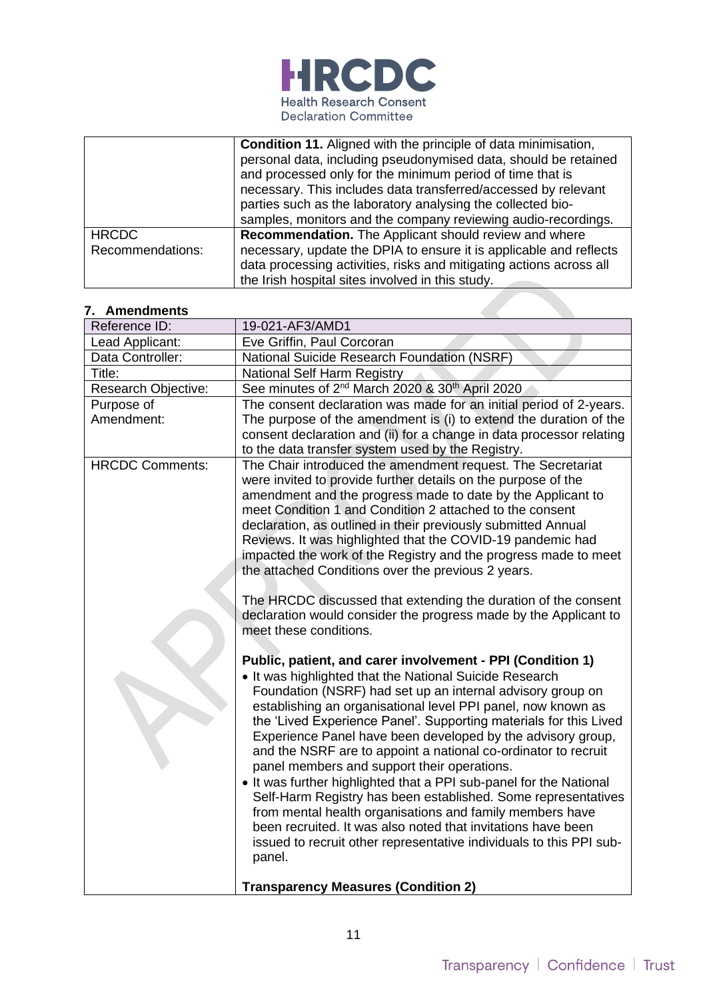

|                                  | <b>Condition 11.</b> Aligned with the principle of data minimisation,<br>personal data, including pseudonymised data, should be retained<br>and processed only for the minimum period of time that is<br>necessary. This includes data transferred/accessed by relevant<br>parties such as the laboratory analysing the collected bio-<br>samples, monitors and the company reviewing audio-recordings. |
|----------------------------------|---------------------------------------------------------------------------------------------------------------------------------------------------------------------------------------------------------------------------------------------------------------------------------------------------------------------------------------------------------------------------------------------------------|
| <b>HRCDC</b><br>Recommendations: | Recommendation. The Applicant should review and where<br>necessary, update the DPIA to ensure it is applicable and reflects<br>data processing activities, risks and mitigating actions across all<br>the Irish hospital sites involved in this study.                                                                                                                                                  |
|                                  |                                                                                                                                                                                                                                                                                                                                                                                                         |

|  | 7. Amendments |  |
|--|---------------|--|
|  |               |  |

| Reference ID:          | 19-021-AF3/AMD1                                                                                                               |
|------------------------|-------------------------------------------------------------------------------------------------------------------------------|
| Lead Applicant:        | Eve Griffin, Paul Corcoran                                                                                                    |
| Data Controller:       | National Suicide Research Foundation (NSRF)                                                                                   |
| Title:                 | National Self Harm Registry                                                                                                   |
| Research Objective:    | See minutes of 2 <sup>nd</sup> March 2020 & 30 <sup>th</sup> April 2020                                                       |
| Purpose of             | The consent declaration was made for an initial period of 2-years.                                                            |
| Amendment:             | The purpose of the amendment is (i) to extend the duration of the                                                             |
|                        | consent declaration and (ii) for a change in data processor relating                                                          |
|                        | to the data transfer system used by the Registry.                                                                             |
| <b>HRCDC Comments:</b> | The Chair introduced the amendment request. The Secretariat                                                                   |
|                        | were invited to provide further details on the purpose of the                                                                 |
|                        | amendment and the progress made to date by the Applicant to                                                                   |
|                        | meet Condition 1 and Condition 2 attached to the consent                                                                      |
|                        | declaration, as outlined in their previously submitted Annual                                                                 |
|                        | Reviews. It was highlighted that the COVID-19 pandemic had<br>impacted the work of the Registry and the progress made to meet |
|                        | the attached Conditions over the previous 2 years.                                                                            |
|                        |                                                                                                                               |
|                        | The HRCDC discussed that extending the duration of the consent                                                                |
|                        | declaration would consider the progress made by the Applicant to                                                              |
|                        | meet these conditions.                                                                                                        |
|                        |                                                                                                                               |
|                        | Public, patient, and carer involvement - PPI (Condition 1)                                                                    |
|                        | • It was highlighted that the National Suicide Research                                                                       |
|                        | Foundation (NSRF) had set up an internal advisory group on                                                                    |
|                        | establishing an organisational level PPI panel, now known as                                                                  |
|                        | the 'Lived Experience Panel'. Supporting materials for this Lived                                                             |
|                        | Experience Panel have been developed by the advisory group,                                                                   |
|                        | and the NSRF are to appoint a national co-ordinator to recruit                                                                |
|                        | panel members and support their operations.                                                                                   |
|                        | • It was further highlighted that a PPI sub-panel for the National                                                            |
|                        | Self-Harm Registry has been established. Some representatives                                                                 |
|                        | from mental health organisations and family members have                                                                      |
|                        | been recruited. It was also noted that invitations have been                                                                  |
|                        | issued to recruit other representative individuals to this PPI sub-                                                           |
|                        | panel.                                                                                                                        |
|                        |                                                                                                                               |
|                        | <b>Transparency Measures (Condition 2)</b>                                                                                    |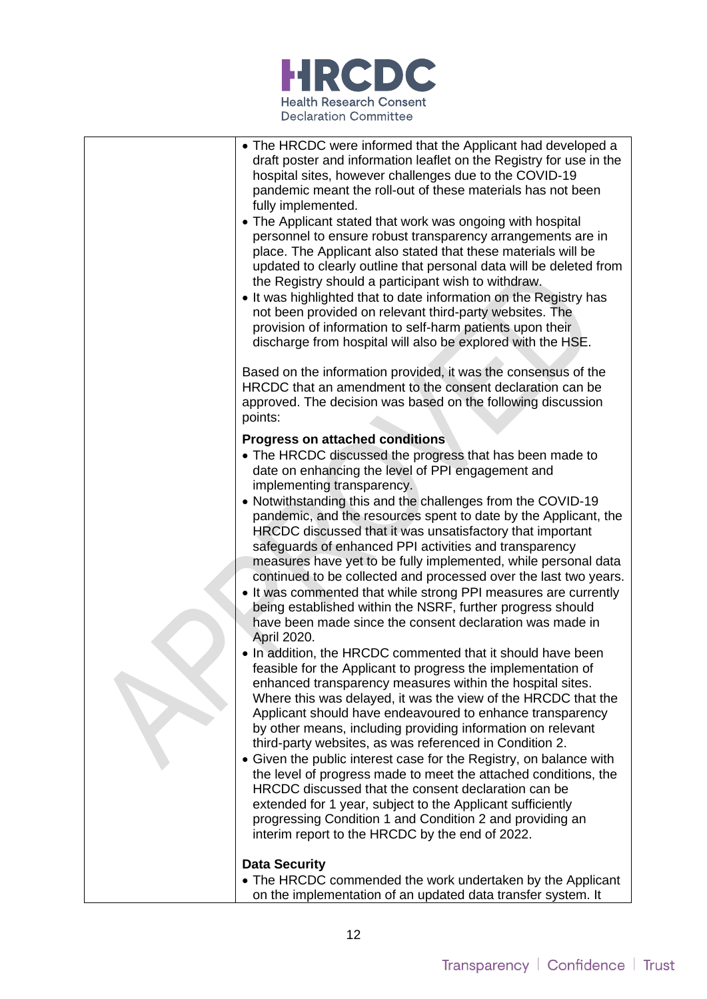

| • The HRCDC were informed that the Applicant had developed a<br>draft poster and information leaflet on the Registry for use in the<br>hospital sites, however challenges due to the COVID-19<br>pandemic meant the roll-out of these materials has not been<br>fully implemented.<br>• The Applicant stated that work was ongoing with hospital<br>personnel to ensure robust transparency arrangements are in<br>place. The Applicant also stated that these materials will be<br>updated to clearly outline that personal data will be deleted from<br>the Registry should a participant wish to withdraw.<br>• It was highlighted that to date information on the Registry has<br>not been provided on relevant third-party websites. The<br>provision of information to self-harm patients upon their<br>discharge from hospital will also be explored with the HSE.                                                                                                                                                                                                                                                                                                                                                                                                                                                                                                                                                                                                                                                                                                                                                                                 |
|-----------------------------------------------------------------------------------------------------------------------------------------------------------------------------------------------------------------------------------------------------------------------------------------------------------------------------------------------------------------------------------------------------------------------------------------------------------------------------------------------------------------------------------------------------------------------------------------------------------------------------------------------------------------------------------------------------------------------------------------------------------------------------------------------------------------------------------------------------------------------------------------------------------------------------------------------------------------------------------------------------------------------------------------------------------------------------------------------------------------------------------------------------------------------------------------------------------------------------------------------------------------------------------------------------------------------------------------------------------------------------------------------------------------------------------------------------------------------------------------------------------------------------------------------------------------------------------------------------------------------------------------------------------|
| Based on the information provided, it was the consensus of the<br>HRCDC that an amendment to the consent declaration can be<br>approved. The decision was based on the following discussion<br>points:                                                                                                                                                                                                                                                                                                                                                                                                                                                                                                                                                                                                                                                                                                                                                                                                                                                                                                                                                                                                                                                                                                                                                                                                                                                                                                                                                                                                                                                    |
| <b>Progress on attached conditions</b><br>• The HRCDC discussed the progress that has been made to<br>date on enhancing the level of PPI engagement and<br>implementing transparency.<br>• Notwithstanding this and the challenges from the COVID-19<br>pandemic, and the resources spent to date by the Applicant, the<br>HRCDC discussed that it was unsatisfactory that important<br>safeguards of enhanced PPI activities and transparency<br>measures have yet to be fully implemented, while personal data<br>continued to be collected and processed over the last two years.<br>• It was commented that while strong PPI measures are currently<br>being established within the NSRF, further progress should<br>have been made since the consent declaration was made in<br>April 2020.<br>. In addition, the HRCDC commented that it should have been<br>feasible for the Applicant to progress the implementation of<br>enhanced transparency measures within the hospital sites.<br>Where this was delayed, it was the view of the HRCDC that the<br>Applicant should have endeavoured to enhance transparency<br>by other means, including providing information on relevant<br>third-party websites, as was referenced in Condition 2.<br>• Given the public interest case for the Registry, on balance with<br>the level of progress made to meet the attached conditions, the<br>HRCDC discussed that the consent declaration can be<br>extended for 1 year, subject to the Applicant sufficiently<br>progressing Condition 1 and Condition 2 and providing an<br>interim report to the HRCDC by the end of 2022.<br><b>Data Security</b> |
| • The HRCDC commended the work undertaken by the Applicant                                                                                                                                                                                                                                                                                                                                                                                                                                                                                                                                                                                                                                                                                                                                                                                                                                                                                                                                                                                                                                                                                                                                                                                                                                                                                                                                                                                                                                                                                                                                                                                                |

on the implementation of an updated data transfer system. It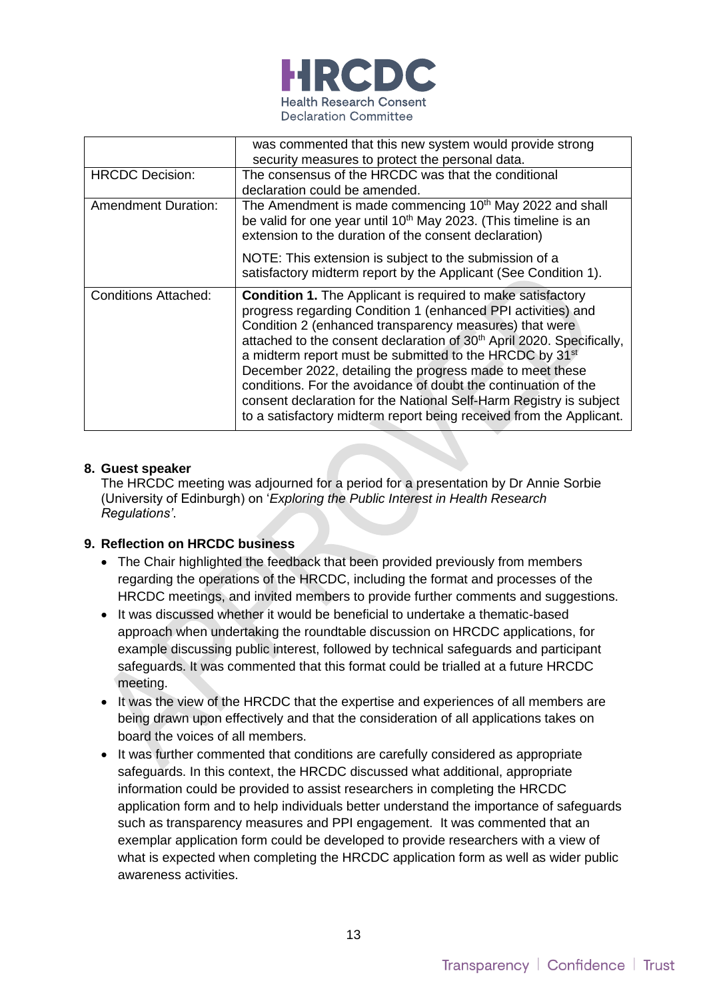

|                             | was commented that this new system would provide strong                                                                                                                                                                                                                                                                                                                                                                                                                                                                                                                                                                             |
|-----------------------------|-------------------------------------------------------------------------------------------------------------------------------------------------------------------------------------------------------------------------------------------------------------------------------------------------------------------------------------------------------------------------------------------------------------------------------------------------------------------------------------------------------------------------------------------------------------------------------------------------------------------------------------|
|                             | security measures to protect the personal data.                                                                                                                                                                                                                                                                                                                                                                                                                                                                                                                                                                                     |
| <b>HRCDC</b> Decision:      | The consensus of the HRCDC was that the conditional                                                                                                                                                                                                                                                                                                                                                                                                                                                                                                                                                                                 |
|                             | declaration could be amended.                                                                                                                                                                                                                                                                                                                                                                                                                                                                                                                                                                                                       |
| <b>Amendment Duration:</b>  | The Amendment is made commencing 10 <sup>th</sup> May 2022 and shall<br>be valid for one year until 10 <sup>th</sup> May 2023. (This timeline is an<br>extension to the duration of the consent declaration)                                                                                                                                                                                                                                                                                                                                                                                                                        |
|                             | NOTE: This extension is subject to the submission of a<br>satisfactory midterm report by the Applicant (See Condition 1).                                                                                                                                                                                                                                                                                                                                                                                                                                                                                                           |
| <b>Conditions Attached:</b> | <b>Condition 1.</b> The Applicant is required to make satisfactory<br>progress regarding Condition 1 (enhanced PPI activities) and<br>Condition 2 (enhanced transparency measures) that were<br>attached to the consent declaration of 30 <sup>th</sup> April 2020. Specifically,<br>a midterm report must be submitted to the HRCDC by 31 <sup>st</sup><br>December 2022, detailing the progress made to meet these<br>conditions. For the avoidance of doubt the continuation of the<br>consent declaration for the National Self-Harm Registry is subject<br>to a satisfactory midterm report being received from the Applicant. |

### **8. Guest speaker**

The HRCDC meeting was adjourned for a period for a presentation by Dr Annie Sorbie (University of Edinburgh) on '*Exploring the Public Interest in Health Research Regulations'*.

### **9. Reflection on HRCDC business**

- The Chair highlighted the feedback that been provided previously from members regarding the operations of the HRCDC, including the format and processes of the HRCDC meetings, and invited members to provide further comments and suggestions.
- It was discussed whether it would be beneficial to undertake a thematic-based approach when undertaking the roundtable discussion on HRCDC applications, for example discussing public interest, followed by technical safeguards and participant safeguards. It was commented that this format could be trialled at a future HRCDC meeting.
- It was the view of the HRCDC that the expertise and experiences of all members are being drawn upon effectively and that the consideration of all applications takes on board the voices of all members.
- It was further commented that conditions are carefully considered as appropriate safeguards. In this context, the HRCDC discussed what additional, appropriate information could be provided to assist researchers in completing the HRCDC application form and to help individuals better understand the importance of safeguards such as transparency measures and PPI engagement. It was commented that an exemplar application form could be developed to provide researchers with a view of what is expected when completing the HRCDC application form as well as wider public awareness activities.